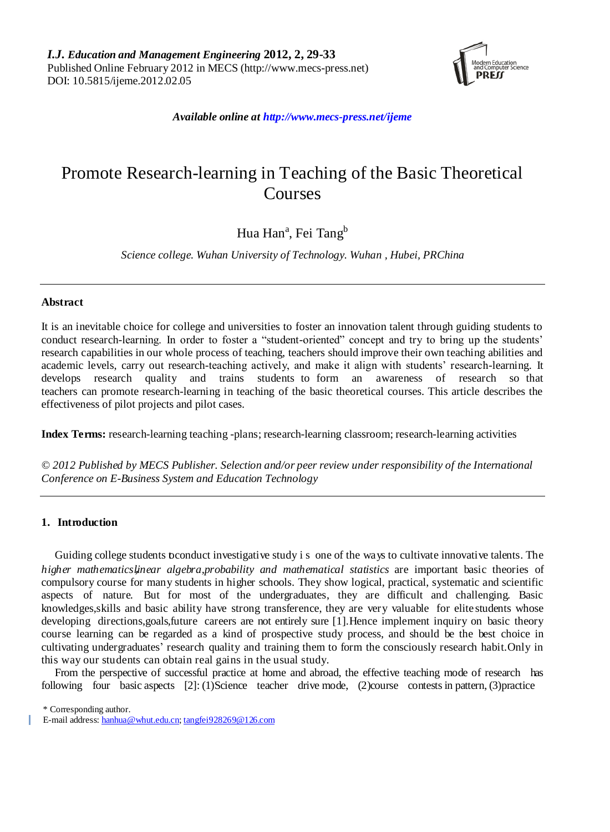

*Available online at http://www.mecs-press.net/ijeme*

# Promote Research-learning in Teaching of the Basic Theoretical Courses

# Hua Han<sup>a</sup>, Fei Tang<sup>b</sup>

*Science college. Wuhan University of Technology. Wuhan , Hubei, PRChina*

# **Abstract**

It is an inevitable choice for college and universities to foster an innovation talent through guiding students to conduct research-learning. In order to foster a "student-oriented" concept and try to bring up the students' research capabilities in our whole process of teaching, teachers should improve their own teaching abilities and academic levels, carry out research-teaching actively, and make it align with students' research-learning. It develops research quality and trains students to form an awareness of research so that teachers can promote research-learning in teaching of the basic theoretical courses. This article describes the effectiveness of pilot projects and pilot cases.

**Index Terms:** research-learning teaching -plans; research-learning classroom; research-learning activities

*© 2012 Published by MECS Publisher. Selection and/or peer review under responsibility of the International Conference on E-Business System and Education Technology*

# **1. Introduction**

Guiding college students toconduct investigative study i s one of the ways to cultivate innovative talents. The *higher mathematics*,*linear algebra,probability and mathematical statistics* are important basic theories of compulsory course for many students in higher schools. They show logical, practical, systematic and scientific aspects of nature. But for most of the undergraduates, they are difficult and challenging. Basic knowledges,skills and basic ability have strong transference, they are very valuable for elite students whose developing directions,goals,future careers are not entirely sure [1].Hence implement inquiry on basic theory course learning can be regarded as a kind of prospective study process, and should be the best choice in cultivating undergraduates' research quality and training them to form the consciously research habit.Only in this way our students can obtain real gains in the usual study.

From the perspective of successful practice at home and abroad, the effective teaching mode of research has following four basic aspects [2]: (1)Science teacher drive mode, (2)course contests in pattern, (3)practice

\* Corresponding author.

E-mail address[: hanhua@whut.edu.cn;](mailto:hanhua@whut.edu.cn) [tangfei928269@126.com](mailto:tangfei928269@126.com)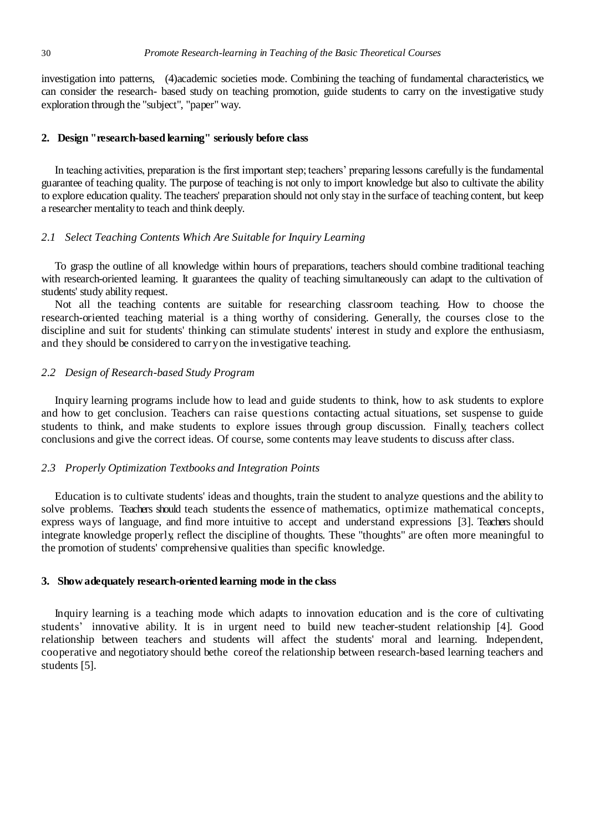investigation into patterns, (4)academic societies mode. Combining the teaching of fundamental characteristics, we can consider the research- based study on teaching promotion, guide students to carry on the investigative study exploration through the "subject", "paper" way.

# **2. Design "research-based learning" seriously before class**

In teaching activities, preparation is the first important step; teachers' preparing lessons carefully is the fundamental guarantee of teaching quality. The purpose of teaching is not only to import knowledge but also to cultivate the ability to explore education quality. The teachers' preparation should not only stay in the surface of teaching content, but keep a researcher mentality to teach and think deeply.

# *2.1 Select Teaching Contents Which Are Suitable for Inquiry Learning*

To grasp the outline of all knowledge within hours of preparations, teachers should combine traditional teaching with research-oriented learning. It [guarantees](app:ds:guarantee) the quality of teaching simultaneously can adapt to the cultivation of students' study ability request.

Not all the teaching contents are suitable for researching classroom teaching. How to choose the research-oriented teaching material is a thing worthy of considering. Generally, the courses close to the discipline and suit for students' thinking can stimulate students' interest in study and explore the enthusiasm, and they should be considered to carryon the investigative teaching.

#### *2.2 Design of Research-based Study Program*

Inquiry learning programs include how to lead and guide students to think, how to ask students to explore and how to get conclusion. Teachers can raise questions contacting actual situations, set suspense to guide students to think, and make students to explore issues through group discussion. Finally, teachers collect conclusions and give the correct ideas. Of course, some contents may leave students to discuss after class.

#### *2.3 Properly Optimization Textbooks and Integration Points*

Education is to cultivate students' ideas and thoughts, train the student to analyze questions and the ability to solve problems. Teachers should teach students the essence of mathematics, optimize mathematical concepts, express ways of language, and find more intuitive to accept and understand expressions [3]. Teachers should integrate knowledge properly, reflect the discipline of thoughts. These "thoughts" are often more meaningful to the promotion of students' comprehensive qualities than specific knowledge.

#### **3. Showadequately research-oriented learning mode in the class**

Inquiry learning is a teaching mode which adapts to innovation education and is the core of cultivating students' innovative ability. It is in urgent need to build new teacher-student relationship [4]. Good relationship between teachers and students will affect the students' moral and learning. Independent, cooperative and negotiatory should bethe coreof the relationship between research-based learning teachers and students [5].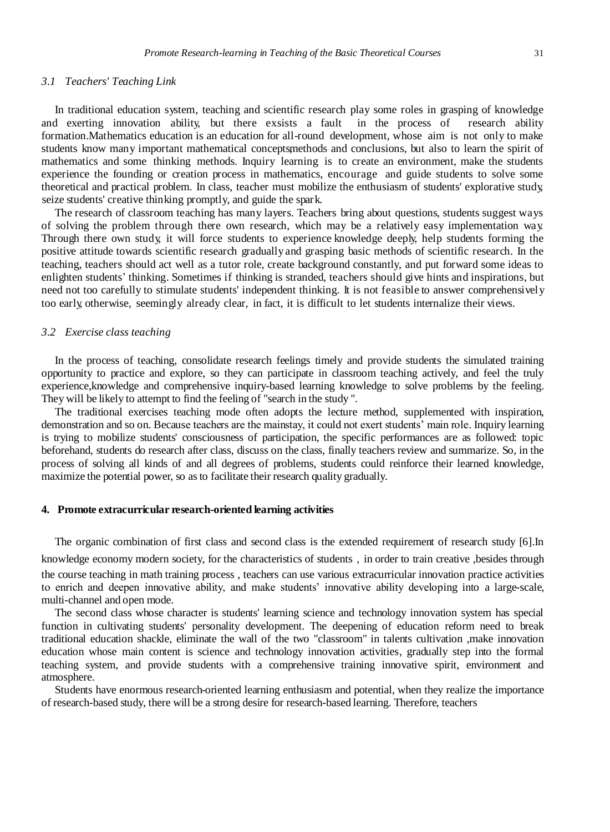#### *3.1 Teachers' Teaching Link*

In traditional education system, teaching and scientific research play some roles in grasping of knowledge and exerting innovation ability, but there exsists a fault in the process of research ability formation.Mathematics education is an education for all-round development, whose aim is not only to make students know many important mathematical conceptsmethods and conclusions, but also to learn the spirit of mathematics and some thinking methods. Inquiry learning is to create an environment, make the students experience the founding or creation process in mathematics, encourage and guide students to solve some theoretical and practical problem. In class, teacher must mobilize the enthusiasm of students' explorative study, seize students' creative thinking promptly, and guide the spark.

The research of classroom teaching has many layers. Teachers bring about questions, students suggest ways of solving the problem through there own research, which may be a relatively easy implementation way. Through there own study, it will force students to experience knowledge deeply, help students forming the positive attitude towards scientific research graduallyand grasping basic methods of scientific research. In the teaching, teachers should act well as a tutor role, create background constantly, and put forward some ideas to enlighten students' thinking. Sometimes if thinking is stranded, teachers should give hints and inspirations, but need not too carefully to stimulate students' independent thinking. It is not [feasible](app:ds:feasible) to answer comprehensively too early, otherwise, seemingly already clear, in fact, it is difficult to let students internalize their views.

#### *3.2 Exercise class teaching*

In the process of teaching, consolidate research feelings timely and provide students the simulated training opportunity to practice and explore, so they can participate in classroom teaching actively, and feel the truly experience,knowledge and comprehensive inquiry-based learning knowledge to solve problems by the feeling. They will be likely to attempt to find the feeling of "search in the study ".

The traditional exercises teaching mode often adopts the lecture method, supplemented with inspiration, demonstration and so on. Because teachers are the mainstay, it could not exert students' main role. Inquiry learning is trying to mobilize students' consciousness of participation, the specific performances are as followed: topic beforehand, students do research after class, discuss on the class, finally teachers review and summarize. So, in the process of solving all kinds of and all degrees of problems, students could reinforce their learned knowledge, maximize the potential power, so as to facilitate their research quality gradually.

#### **4. Promote extracurricular research-oriented learning activities**

The organic combination of first class and second class is the extended requirement of research study [6].In

knowledge economy modern society, for the characteristics of students, in order to train creative ,besides through the course teaching in math training process , teachers can use various extracurricular innovation practice activities to enrich and deepen innovative ability, and make students' innovative ability developing into a large-scale, multi-channel and open mode.

The second class whose character is students' learning science and technology innovation system has special function in cultivating students' personality development. The deepening of education reform need to break traditional education shackle, eliminate the wall of the two "classroom" in talents cultivation ,make innovation education whose main content is science and technology innovation activities, gradually step into the formal teaching system, and provide students with a comprehensive training innovative spirit, environment and atmosphere.

Students have enormous research-oriented learning enthusiasm and potential, when they realize the importance of research-based study, there will be a strong desire for research-based learning. Therefore, teachers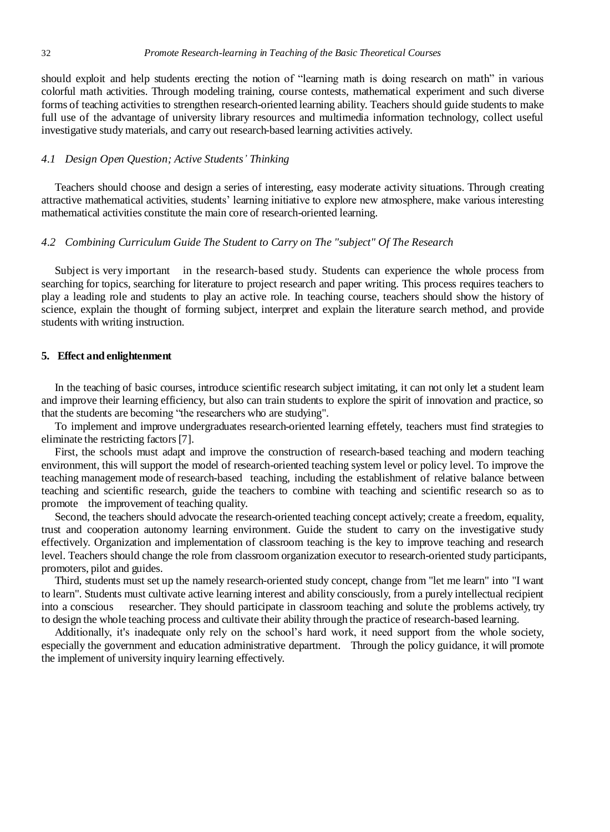should exploit and help students erecting the notion of "learning math is doing research on math" in various colorful math activities. Through modeling training, course contests, mathematical experiment and such diverse forms of teaching activities to strengthen research-oriented learning ability. Teachers should guide students to make full use of the advantage of university library resources and multimedia information technology, collect useful investigative study materials, and carry out research-based learning activities actively.

# *4.1 Design Open Question; Active Students' Thinking*

Teachers should choose and design a series of interesting, easy moderate activity situations. Through creating attractive mathematical activities, students' learning initiative to explore new atmosphere, make various interesting mathematical activities constitute the main core of research-oriented learning.

#### *4.2 Combining Curriculum Guide The Student to Carry on The "subject" Of The Research*

Subject is very important in the research-based study. Students can experience the whole process from searching for topics, searching for literature to project research and paper writing. This process requires teachers to play a leading role and students to play an active role. In teaching course, teachers should show the history of science, explain the thought of forming subject, interpret and explain the literature search method, and provide students with writing instruction.

# **5. Effect and enlightenment**

In the teaching of basic courses, introduce scientific research subject imitating, it can not only let a student learn and improve their learning efficiency, but also can train students to explore the spirit of innovation and practice, so that the students are becoming "the researchers who are studying".

To implement and improve undergraduates research-oriented learning effetely, teachers must find strategies to eliminate the restricting factors [7].

First, the schools must adapt and improve the construction of research-based teaching and modern teaching environment, this will support the model of research-oriented teaching system level or policy level. To improve the teaching management mode of research-based teaching, including the establishment of relative balance between teaching and scientific research, guide the teachers to combine with teaching and scientific research so as to promote the improvement of teaching quality.

Second, the teachers should advocate the research-oriented teaching concept actively; create a freedom, equality, trust and cooperation autonomy learning environment. Guide the student to carry on the investigative study effectively. Organization and implementation of classroom teaching is the key to improve teaching and research level. Teachers should change the role from classroom organization executor to research-oriented study participants, promoters, pilot and guides.

Third, students must set up the namely research-oriented study concept, change from "let me learn" into "I want to learn". Students must cultivate active learning interest and ability consciously, from a purely intellectual recipient into a conscious researcher. They should participate in classroom teaching and solute the problems actively, try to design the whole teaching process and cultivate their ability through the practice of research-based learning.

Additionally, it's inadequate only rely on the school's hard work, it need support from the whole society, especially the government and education administrative department. Through the policy guidance, it will promote the implement of university inquiry learning effectively.